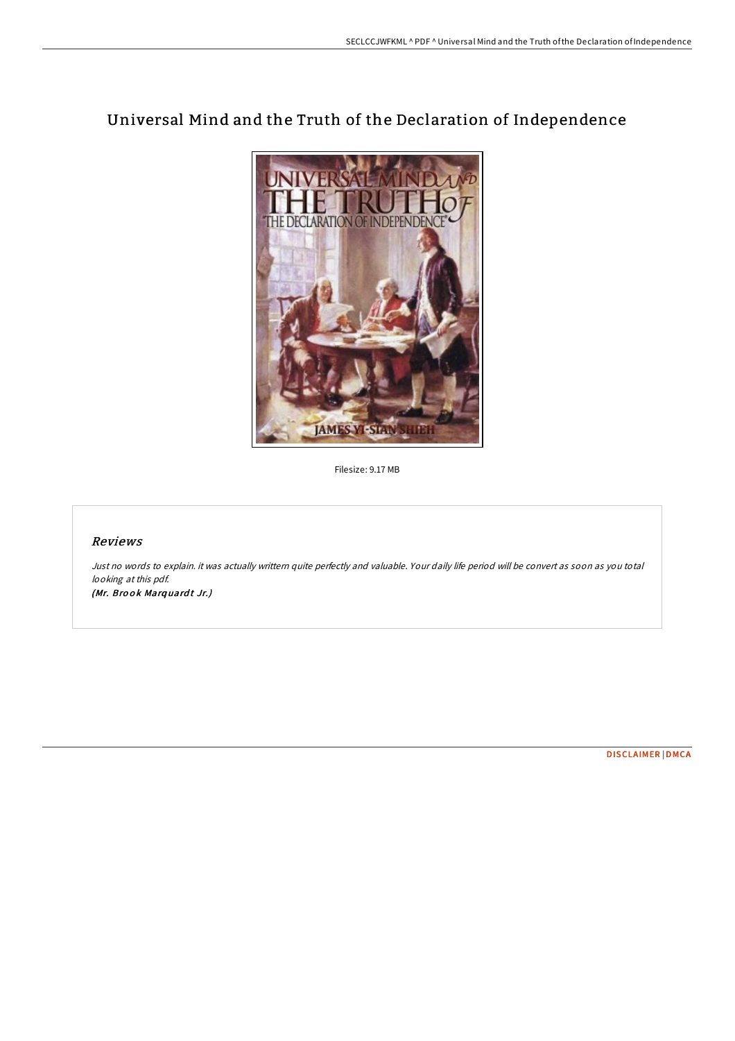# Universal Mind and the Truth of the Declaration of Independence



Filesize: 9.17 MB

## Reviews

Just no words to explain. it was actually writtern quite perfectly and valuable. Your daily life period will be convert as soon as you total looking at this pdf. (Mr. Brook Marquardt Jr.)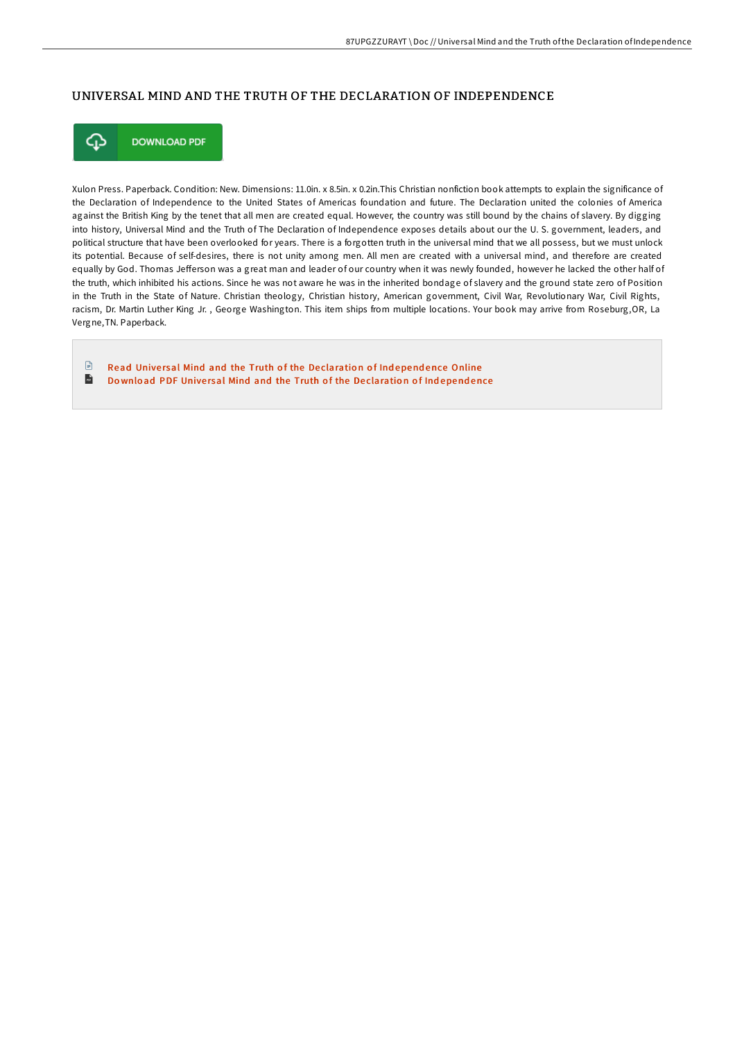#### UNIVERSAL MIND AND THE TRUTH OF THE DECLARATION OF INDEPENDENCE



**DOWNLOAD PDF** 

Xulon Press. Paperback. Condition: New. Dimensions: 11.0in. x 8.5in. x 0.2in.This Christian nonfiction book attempts to explain the significance of the Declaration of Independence to the United States of Americas foundation and future. The Declaration united the colonies of America against the British King by the tenet that all men are created equal. However, the country was still bound by the chains of slavery. By digging into history, Universal Mind and the Truth of The Declaration of Independence exposes details about our the U. S. government, leaders, and political structure that have been overlooked for years. There is a forgotten truth in the universal mind that we all possess, but we must unlock its potential. Because of self-desires, there is not unity among men. All men are created with a universal mind, and therefore are created equally by God. Thomas Jefferson was a great man and leader of our country when it was newly founded, however he lacked the other half of the truth, which inhibited his actions. Since he was not aware he was in the inherited bondage of slavery and the ground state zero of Position in the Truth in the State of Nature. Christian theology, Christian history, American government, Civil War, Revolutionary War, Civil Rights, racism, Dr. Martin Luther King Jr. , George Washington. This item ships from multiple locations. Your book may arrive from Roseburg,OR, La Vergne,TN. Paperback.

 $\mathbb{R}$ Read Universal Mind and the Truth of the De[claratio](http://almighty24.tech/universal-mind-and-the-truth-of-the-declaration-.html)n of Independence Online  $\overline{\mathbf{m}}$ Download PDF Universal Mind and the Truth of the De[claratio](http://almighty24.tech/universal-mind-and-the-truth-of-the-declaration-.html)n of Independence